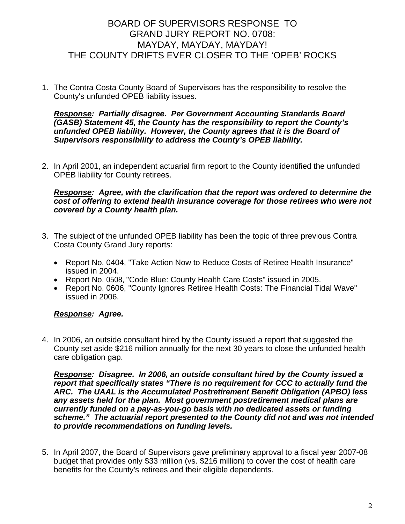# BOARD OF SUPERVISORS RESPONSE TO GRAND JURY REPORT NO. 0708: MAYDAY, MAYDAY, MAYDAY! THE COUNTY DRIFTS EVER CLOSER TO THE 'OPEB' ROCKS

1. The Contra Costa County Board of Supervisors has the responsibility to resolve the County's unfunded OPEB liability issues.

#### *Response: Partially disagree. Per Government Accounting Standards Board (GASB) Statement 45, the County has the responsibility to report the County's unfunded OPEB liability. However, the County agrees that it is the Board of Supervisors responsibility to address the County's OPEB liability.*

2. In April 2001, an independent actuarial firm report to the County identified the unfunded OPEB liability for County retirees.

*Response: Agree, with the clarification that the report was ordered to determine the cost of offering to extend health insurance coverage for those retirees who were not covered by a County health plan.* 

- 3. The subject of the unfunded OPEB liability has been the topic of three previous Contra Costa County Grand Jury reports:
	- Report No. 0404, "Take Action Now to Reduce Costs of Retiree Health Insurance" issued in 2004.
	- Report No. 0508, "Code Blue: County Health Care Costs" issued in 2005.
	- Report No. 0606, "County Ignores Retiree Health Costs: The Financial Tidal Wave" issued in 2006.

# *Response: Agree.*

4. In 2006, an outside consultant hired by the County issued a report that suggested the County set aside \$216 million annually for the next 30 years to close the unfunded health care obligation gap.

*Response: Disagree. In 2006, an outside consultant hired by the County issued a report that specifically states "There is no requirement for CCC to actually fund the ARC. The UAAL is the Accumulated Postretirement Benefit Obligation (APBO) less any assets held for the plan. Most government postretirement medical plans are currently funded on a pay-as-you-go basis with no dedicated assets or funding scheme." The actuarial report presented to the County did not and was not intended to provide recommendations on funding levels.* 

5. In April 2007, the Board of Supervisors gave preliminary approval to a fiscal year 2007-08 budget that provides only \$33 million (vs. \$216 million) to cover the cost of health care benefits for the County's retirees and their eligible dependents.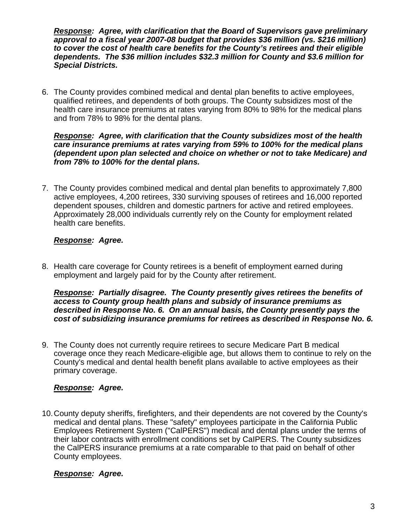*Response: Agree, with clarification that the Board of Supervisors gave preliminary approval to a fiscal year 2007-08 budget that provides \$36 million (vs. \$216 million) to cover the cost of health care benefits for the County's retirees and their eligible dependents. The \$36 million includes \$32.3 million for County and \$3.6 million for Special Districts.* 

6. The County provides combined medical and dental plan benefits to active employees, qualified retirees, and dependents of both groups. The County subsidizes most of the health care insurance premiums at rates varying from 80% to 98% for the medical plans and from 78% to 98% for the dental plans.

#### *Response: Agree, with clarification that the County subsidizes most of the health care insurance premiums at rates varying from 59% to 100% for the medical plans (dependent upon plan selected and choice on whether or not to take Medicare) and from 78% to 100% for the dental plans.*

7. The County provides combined medical and dental plan benefits to approximately 7,800 active employees, 4,200 retirees, 330 surviving spouses of retirees and 16,000 reported dependent spouses, children and domestic partners for active and retired employees. Approximately 28,000 individuals currently rely on the County for employment related health care benefits.

### *Response: Agree.*

8. Health care coverage for County retirees is a benefit of employment earned during employment and largely paid for by the County after retirement.

#### *Response: Partially disagree. The County presently gives retirees the benefits of access to County group health plans and subsidy of insurance premiums as described in Response No. 6. On an annual basis, the County presently pays the cost of subsidizing insurance premiums for retirees as described in Response No. 6.*

9. The County does not currently require retirees to secure Medicare Part B medical coverage once they reach Medicare-eligible age, but allows them to continue to rely on the County's medical and dental health benefit plans available to active employees as their primary coverage.

# *Response: Agree.*

10. County deputy sheriffs, firefighters, and their dependents are not covered by the County's medical and dental plans. These "safety" employees participate in the California Public Employees Retirement System ("CalPERS") medical and dental plans under the terms of their labor contracts with enrollment conditions set by CaIPERS. The County subsidizes the CalPERS insurance premiums at a rate comparable to that paid on behalf of other County employees.

# *Response: Agree.*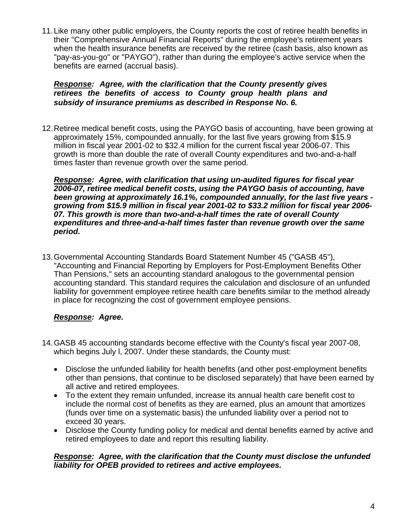11. Like many other public employers, the County reports the cost of retiree health benefits in their "Comprehensive Annual Financial Reports" during the employee's retirement years when the health insurance benefits are received by the retiree (cash basis, also known as "pay-as-you-go" or "PAYGO"), rather than during the employee's active service when the benefits are earned (accrual basis).

### *Response: Agree, with the clarification that the County presently gives retirees the benefits of access to County group health plans and subsidy of insurance premiums as described in Response No. 6.*

12. Retiree medical benefit costs, using the PAYGO basis of accounting, have been growing at approximately 15%, compounded annually, for the last five years growing from \$15.9 million in fiscal year 2001-02 to \$32.4 million for the current fiscal year 2006-07. This growth is more than double the rate of overall County expenditures and two-and-a-half times faster than revenue growth over the same period.

*Response: Agree, with clarification that using un-audited figures for fiscal year 2006-07, retiree medical benefit costs, using the PAYGO basis of accounting, have been growing at approximately 16.1%, compounded annually, for the last five years growing from \$15.9 million in fiscal year 2001-02 to \$33.2 million for fiscal year 2006- 07. This growth is more than two-and-a-half times the rate of overall County expenditures and three-and-a-half times faster than revenue growth over the same period.* 

13. Governmental Accounting Standards Board Statement Number 45 ("GASB 45"), "Accounting and Financial Reporting by Employers for Post-Employment Benefits Other Than Pensions," sets an accounting standard analogous to the governmental pension accounting standard. This standard requires the calculation and disclosure of an unfunded liability for government employee retiree health care benefits similar to the method already in place for recognizing the cost of government employee pensions.

# *Response: Agree.*

- 14. GASB 45 accounting standards become effective with the County's fiscal year 2007-08, which begins July l, 2007. Under these standards, the County must:
	- Disclose the unfunded liability for health benefits (and other post-employment benefits other than pensions, that continue to be disclosed separately) that have been earned by all active and retired employees.
	- To the extent they remain unfunded, increase its annual health care benefit cost to include the normal cost of benefits as they are earned, plus an amount that amortizes (funds over time on a systematic basis) the unfunded liability over a period not to exceed 30 years.
	- Disclose the County funding policy for medical and dental benefits earned by active and retired employees to date and report this resulting liability.

### *Response: Agree, with the clarification that the County must disclose the unfunded liability for OPEB provided to retirees and active employees.*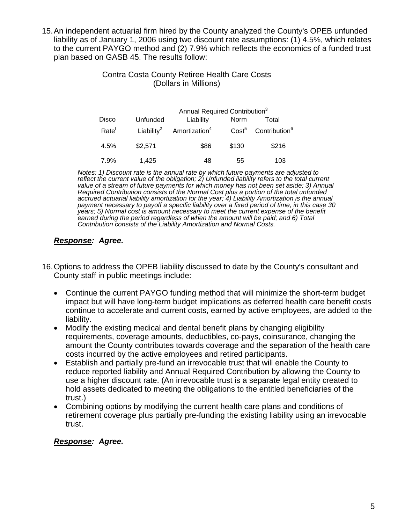15. An independent actuarial firm hired by the County analyzed the County's OPEB unfunded liability as of January 1, 2006 using two discount rate assumptions: (1) 4.5%, which relates to the current PAYGO method and (2) 7.9% which reflects the economics of a funded trust plan based on GASB 45. The results follow:

### Contra Costa County Retiree Health Care Costs (Dollars in Millions)

| Disco | Annual Required Contribution <sup>3</sup> |                           |                   |                           |
|-------|-------------------------------------------|---------------------------|-------------------|---------------------------|
|       | Unfunded                                  | Liability                 | Norm              | Total                     |
| Rate  | Liability <sup>2</sup>                    | Amortization <sup>4</sup> | $\mathsf{Cost}^5$ | Contribution <sup>6</sup> |
| 4.5%  | \$2,571                                   | \$86                      | \$130             | \$216                     |
| 7.9%  | 1.425                                     | 48                        | 55                | 103                       |

*Notes: 1) Discount rate is the annual rate by which future payments are adjusted to*  reflect the current value of the obligation; 2) Unfunded liability refers to the total current *value of a stream of future payments for which money has not been set aside; 3) Annual Required Contribution consists of the Normal Cost plus a portion of the total unfunded accrued actuarial liability amortization for the year; 4) Liability Amortization is the annual*  payment necessary to payoff a specific liability over a fixed period of time, in this case 30 *years; 5) Normal cost is amount necessary to meet the current expense of the benefit earned during the period regardless of when the amount will be paid; and 6) Total Contribution consists of the Liability Amortization and Normal Costs.* 

# *Response: Agree.*

- 16. Options to address the OPEB liability discussed to date by the County's consultant and County staff in public meetings include:
	- Continue the current PAYGO funding method that will minimize the short-term budget impact but will have long-term budget implications as deferred health care benefit costs continue to accelerate and current costs, earned by active employees, are added to the liability.
	- Modify the existing medical and dental benefit plans by changing eligibility requirements, coverage amounts, deductibles, co-pays, coinsurance, changing the amount the County contributes towards coverage and the separation of the health care costs incurred by the active employees and retired participants.
	- Establish and partially pre-fund an irrevocable trust that will enable the County to reduce reported liability and Annual Required Contribution by allowing the County to use a higher discount rate. (An irrevocable trust is a separate legal entity created to hold assets dedicated to meeting the obligations to the entitled beneficiaries of the trust.)
	- Combining options by modifying the current health care plans and conditions of retirement coverage plus partially pre-funding the existing liability using an irrevocable trust.

# *Response: Agree.*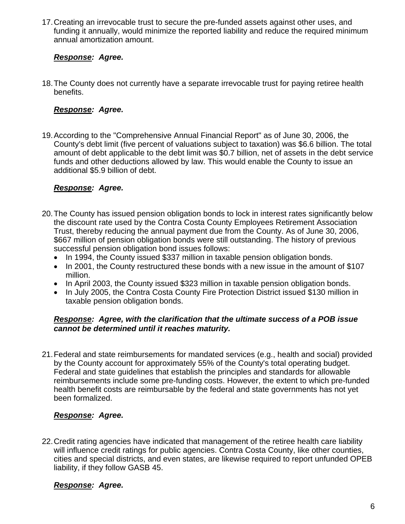17. Creating an irrevocable trust to secure the pre-funded assets against other uses, and funding it annually, would minimize the reported liability and reduce the required minimum annual amortization amount.

# *Response: Agree.*

18. The County does not currently have a separate irrevocable trust for paying retiree health benefits.

### *Response: Agree.*

19. According to the "Comprehensive Annual Financial Report" as of June 30, 2006, the County's debt limit (five percent of valuations subject to taxation) was \$6.6 billion. The total amount of debt applicable to the debt limit was \$0.7 billion, net of assets in the debt service funds and other deductions allowed by law. This would enable the County to issue an additional \$5.9 billion of debt.

# *Response: Agree.*

- 20. The County has issued pension obligation bonds to lock in interest rates significantly below the discount rate used by the Contra Costa County Employees Retirement Association Trust, thereby reducing the annual payment due from the County. As of June 30, 2006, \$667 million of pension obligation bonds were still outstanding. The history of previous successful pension obligation bond issues follows:
	- In 1994, the County issued \$337 million in taxable pension obligation bonds.
	- In 2001, the County restructured these bonds with a new issue in the amount of \$107 million.
	- In April 2003, the County issued \$323 million in taxable pension obligation bonds.
	- In July 2005, the Contra Costa County Fire Protection District issued \$130 million in taxable pension obligation bonds.

### *Response: Agree, with the clarification that the ultimate success of a POB issue cannot be determined until it reaches maturity.*

21. Federal and state reimbursements for mandated services (e.g., health and social) provided by the County account for approximately 55% of the County's total operating budget. Federal and state guidelines that establish the principles and standards for allowable reimbursements include some pre-funding costs. However, the extent to which pre-funded health benefit costs are reimbursable by the federal and state governments has not yet been formalized.

### *Response: Agree.*

22. Credit rating agencies have indicated that management of the retiree health care liability will influence credit ratings for public agencies. Contra Costa County, like other counties, cities and special districts, and even states, are likewise required to report unfunded OPEB liability, if they follow GASB 45.

# *Response: Agree.*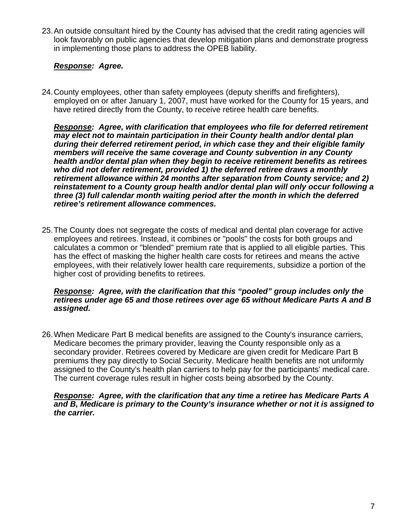23. An outside consultant hired by the County has advised that the credit rating agencies will look favorably on public agencies that develop mitigation plans and demonstrate progress in implementing those plans to address the OPEB liability.

#### *Response: Agree.*

24. County employees, other than safety employees (deputy sheriffs and firefighters), employed on or after January 1, 2007, must have worked for the County for 15 years, and have retired directly from the County, to receive retiree health care benefits.

*Response: Agree, with clarification that employees who file for deferred retirement may elect not to maintain participation in their County health and/or dental plan during their deferred retirement period, in which case they and their eligible family members will receive the same coverage and County subvention in any County health and/or dental plan when they begin to receive retirement benefits as retirees who did not defer retirement, provided 1) the deferred retiree draws a monthly retirement allowance within 24 months after separation from County service; and 2) reinstatement to a County group health and/or dental plan will only occur following a three (3) full calendar month waiting period after the month in which the deferred retiree's retirement allowance commences.* 

25. The County does not segregate the costs of medical and dental plan coverage for active employees and retirees. Instead, it combines or "pools" the costs for both groups and calculates a common or "blended" premium rate that is applied to all eligible parties. This has the effect of masking the higher health care costs for retirees and means the active employees, with their relatively lower health care requirements, subsidize a portion of the higher cost of providing benefits to retirees.

#### *Response: Agree, with the clarification that this "pooled" group includes only the retirees under age 65 and those retirees over age 65 without Medicare Parts A and B assigned.*

26. When Medicare Part B medical benefits are assigned to the County's insurance carriers, Medicare becomes the primary provider, leaving the County responsible only as a secondary provider. Retirees covered by Medicare are given credit for Medicare Part B premiums they pay directly to Social Security. Medicare health benefits are not uniformly assigned to the County's health plan carriers to help pay for the participants' medical care. The current coverage rules result in higher costs being absorbed by the County.

#### *Response: Agree, with the clarification that any time a retiree has Medicare Parts A and B, Medicare is primary to the County's insurance whether or not it is assigned to the carrier.*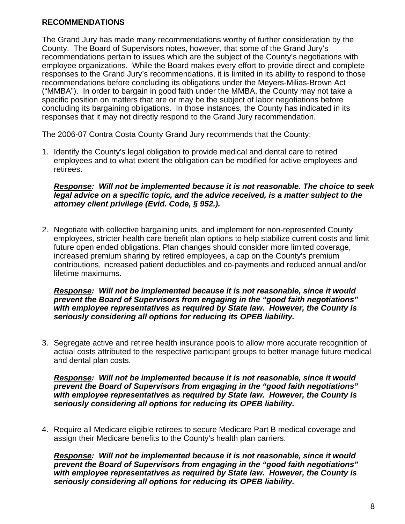### **RECOMMENDATIONS**

The Grand Jury has made many recommendations worthy of further consideration by the County. The Board of Supervisors notes, however, that some of the Grand Jury's recommendations pertain to issues which are the subject of the County's negotiations with employee organizations. While the Board makes every effort to provide direct and complete responses to the Grand Jury's recommendations, it is limited in its ability to respond to those recommendations before concluding its obligations under the Meyers-Milias-Brown Act ("MMBA"). In order to bargain in good faith under the MMBA, the County may not take a specific position on matters that are or may be the subject of labor negotiations before concluding its bargaining obligations. In those instances, the County has indicated in its responses that it may not directly respond to the Grand Jury recommendation.

The 2006-07 Contra Costa County Grand Jury recommends that the County:

1. Identify the County's legal obligation to provide medical and dental care to retired employees and to what extent the obligation can be modified for active employees and retirees.

*Response: Will not be implemented because it is not reasonable. The choice to seek legal advice on a specific topic, and the advice received, is a matter subject to the attorney client privilege (Evid. Code, § 952.).* 

2. Negotiate with collective bargaining units, and implement for non-represented County employees, stricter health care benefit plan options to help stabilize current costs and limit future open ended obligations. Plan changes should consider more limited coverage, increased premium sharing by retired employees, a cap on the County's premium contributions, increased patient deductibles and co-payments and reduced annual and/or lifetime maximums.

#### *Response: Will not be implemented because it is not reasonable, since it would prevent the Board of Supervisors from engaging in the "good faith negotiations" with employee representatives as required by State law. However, the County is seriously considering all options for reducing its OPEB liability.*

3. Segregate active and retiree health insurance pools to allow more accurate recognition of actual costs attributed to the respective participant groups to better manage future medical and dental plan costs.

*Response: Will not be implemented because it is not reasonable, since it would prevent the Board of Supervisors from engaging in the "good faith negotiations" with employee representatives as required by State law. However, the County is seriously considering all options for reducing its OPEB liability.* 

4. Require all Medicare eligible retirees to secure Medicare Part B medical coverage and assign their Medicare benefits to the County's health plan carriers.

*Response: Will not be implemented because it is not reasonable, since it would prevent the Board of Supervisors from engaging in the "good faith negotiations" with employee representatives as required by State law. However, the County is seriously considering all options for reducing its OPEB liability.*